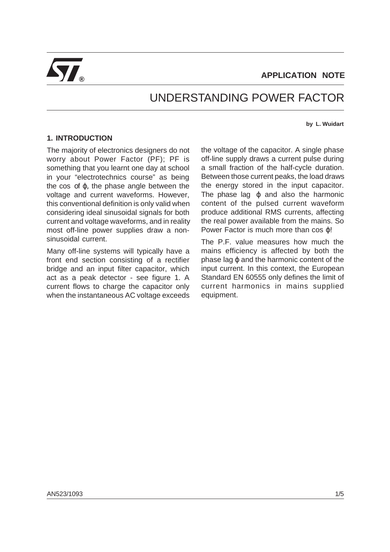

# UNDERSTANDING POWER FACTOR

#### **by L. Wuidart**

## **1. INTRODUCTION**

The majority of electronics designers do not worry about Power Factor (PF); PF is something that you learnt one day at school in your "electrotechnics course" as being the cos of  $φ$ , the phase angle between the voltage and current waveforms. However, this conventional definition is only valid when considering ideal sinusoidal signals for both current and voltage waveforms, and in reality most off-line power supplies draw a nonsinusoidal current.

Many off-line systems will typically have a front end section consisting of a rectifier bridge and an input filter capacitor, which act as a peak detector - see figure 1. A current flows to charge the capacitor only when the instantaneous AC voltage exceeds

the voltage of the capacitor. A single phase off-line supply draws a current pulse during a small fraction of the half-cycle duration. Between those current peaks, the load draws the energy stored in the input capacitor. The phase lag  $\varphi$  and also the harmonic content of the pulsed current waveform produce additional RMS currents, affecting the real power available from the mains. So Power Factor is much more than cos *φ!* 

The P.F. value measures how much the mains efficiency is affected by both the phase lag ϕ and the harmonic content of the input current. In this context, the European Standard EN 60555 only defines the limit of current harmonics in mains supplied equipment.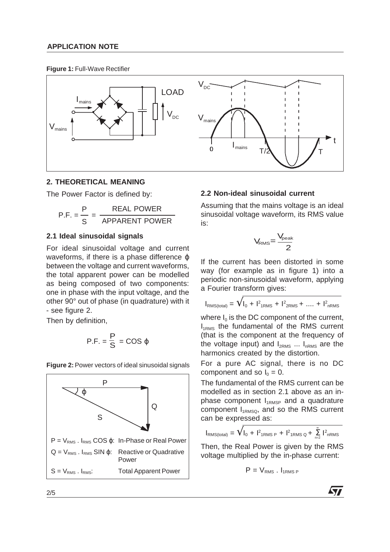## **APPLICATION NOTE**

**Figure 1:** Full-Wave Rectifier



## **2. THEORETICAL MEANING**

The Power Factor is defined by:

$$
P.F. = \frac{P}{S} = \frac{REAL \, Power}{APPARENT \, Power}
$$

## **2.1 Ideal sinusoidal signals**

For ideal sinusoidal voltage and current waveforms, if there is a phase difference  $\omega$ between the voltage and current waveforms, the total apparent power can be modelled as being composed of two components: one in phase with the input voltage, and the other 90° out of phase (in quadrature) with it - see figure 2.

Then by definition,

$$
P.F. = \frac{P}{S} = COS \varphi
$$

**Figure 2:**Power vectors of ideal sinusoidal signals



# **2.2 Non-ideal sinusoidal current**

Assuming that the mains voltage is an ideal sinusoidal voltage waveform, its RMS value is:

$$
V_{\text{RMS}}{=}\frac{V_{\text{peak}}}{2}
$$

If the current has been distorted in some way (for example as in figure 1) into a periodic non-sinusoidal waveform, applying a Fourier transform gives:

$$
I_{\text{RMS}(total)} = \sqrt{I_0 + I^2_{1\text{RMS}} + I^2_{2\text{RMS}} + \dots + I^2_{n\text{RMS}}}
$$

where  $I_0$  is the DC component of the current,  $I_{1RMS}$  the fundamental of the RMS current (that is the component at the frequency of the voltage input) and  $I_{2RMS}$  ...  $I_{nRMS}$  are the harmonics created by the distortion.

For a pure AC signal, there is no DC component and so  $I_0 = 0$ .

The fundamental of the RMS current can be modelled as in section 2.1 above as an inphase component  $I_{1RMSP}$  and a quadrature component  $I_{1RMSO}$ , and so the RMS current can be expressed as:

$$
I_{\text{RMS}(total)} = \sqrt{I_0 + I_{\text{7RMS P}} + I_{\text{7RMS Q}} + \sum_{n=2}^{\infty} I_{nRMS}^2}
$$

Then, the Real Power is given by the RMS voltage multiplied by the in-phase current:

$$
P = V_{RMS} . I_{1RMS P}
$$

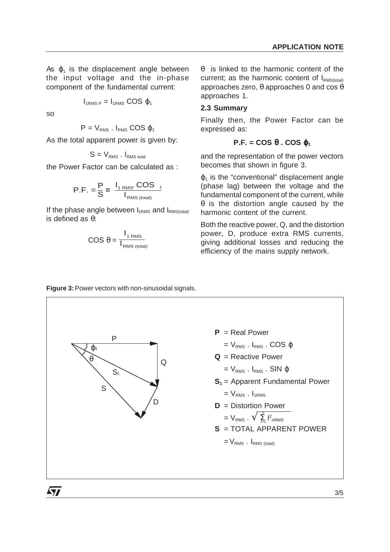As  $\varphi_1$  is the displacement angle between the input voltage and the in-phase component of the fundamental current:

$$
I_{1RMS P} = I_{1RMS} \, COS \, \phi_1
$$

so

 $\sqrt{3}$ 

 $P = V_{RMS}$ .  $I_{RMS}$  COS  $\varphi_1$ 

As the total apparent power is given by:

$$
S = V_{\text{RMS}} \cdot I_{\text{RMS total}}
$$

the Power Factor can be calculated as :

$$
P.F. = \frac{P}{S} = \frac{I_{1 \text{ RMS}} \cdot \text{COS}}{I_{\text{RMS (total)}}}
$$

If the phase angle between  $I_{1RMS}$  and  $I_{RMS (total)}$ is defined as θ:

$$
COS \theta = \frac{I_{1 \text{ RMS}}}{I_{\text{RMS (total)}}}
$$

θ is linked to the harmonic content of the current; as the harmonic content of  $I_{\text{RMS}(total)}$ approaches zero, θ approaches 0 and cos θ approaches 1.

#### **2.3 Summary**

Finally then, the Power Factor can be expressed as:

## **P.F. = COS**  $θ$ **. COS**  $φ_1$

and the representation of the power vectors becomes that shown in figure 3.

 $\varphi_1$  is the "conventional" displacement angle (phase lag) between the voltage and the fundamental component of the current, while θ is the distortion angle caused by the harmonic content of the current.

Both the reactive power, Q, and the distortion power, D, produce extra RMS currents, giving additional losses and reducing the efficiency of the mains supply network.

**P** = Real Power  $= V_{RMS}$ .  $I_{RMS}$ . COS  $\varphi$ **Q** = Reactive Power  $= V_{RMS}$ .  $I_{RMS}$ . SIN  $\varphi$  $S_1$  = Apparent Fundamental Power  $= V_{RMS}$ .  $I_{1RMS}$ **D** = Distortion Power  $= V_{RMS}$  .  $\sqrt{\sum_{n=2}^{\infty} I_{nRMS}^2}$ **S** = TOTAL APPARENT POWER  $=$   $V_{RMS}$ .  $I_{RMS (total)}$ ∞ P Q  $S<sub>1</sub>$  $\varphi_1$ θ D S

**Figure 3:**Power vectors with non-sinusoidal signals.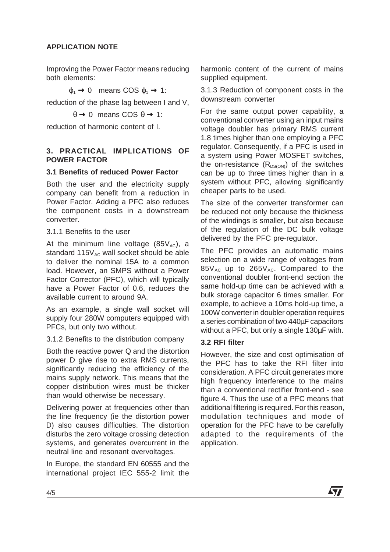Improving the Power Factor means reducing both elements:

 $\varphi_1 \rightarrow 0$  means COS  $\varphi_1 \rightarrow 1$ :

reduction of the phase lag between I and V,

 $\theta \rightarrow 0$  means COS  $\theta \rightarrow 1$ :

reduction of harmonic content of I.

# **3. PRACTICAL IMPLICATIONS OF POWER FACTOR**

# **3.1 Benefits of reduced Power Factor**

Both the user and the electricity supply company can benefit from a reduction in Power Factor. Adding a PFC also reduces the component costs in a downstream converter.

3.1.1 Benefits to the user

At the minimum line voltage  $(85V_{AC})$ , a standard  $115V_{AC}$  wall socket should be able to deliver the nominal 15A to a common load. However, an SMPS without a Power Factor Corrector (PFC), which will typically have a Power Factor of 0.6, reduces the available current to around 9A.

As an example, a single wall socket will supply four 280W computers equipped with PFCs, but only two without.

3.1.2 Benefits to the distribution company

Both the reactive power Q and the distortion power D give rise to extra RMS currents, significantly reducing the efficiency of the mains supply network. This means that the copper distribution wires must be thicker than would otherwise be necessary.

Delivering power at frequencies other than the line frequency (ie the distortion power D) also causes difficulties. The distortion disturbs the zero voltage crossing detection systems, and generates overcurrent in the neutral line and resonant overvoltages.

In Europe, the standard EN 60555 and the international project IEC 555-2 limit the harmonic content of the current of mains supplied equipment.

3.1.3 Reduction of component costs in the downstream converter

For the same output power capability, a conventional converter using an input mains voltage doubler has primary RMS current 1.8 times higher than one employing a PFC regulator. Consequently, if a PFC is used in a system using Power MOSFET switches, the on-resistance  $(R_{DS(ON)})$  of the switches can be up to three times higher than in a system without PFC, allowing significantly cheaper parts to be used.

The size of the converter transformer can be reduced not only because the thickness of the windings is smaller, but also because of the regulation of the DC bulk voltage delivered by the PFC pre-regulator.

The PFC provides an automatic mains selection on a wide range of voltages from  $85V_{AC}$  up to  $265V_{AC}$ . Compared to the conventional doubler front-end section the same hold-up time can be achieved with a bulk storage capacitor 6 times smaller. For example, to achieve a 10ms hold-up time, a 100W converter in doubler operation requires a series combination of two 440µF capacitors without a PFC, but only a single 130µF with.

# **3.2 RFI filter**

However, the size and cost optimisation of the PFC has to take the RFI filter into consideration. A PFC circuit generates more high frequency interference to the mains than a conventional rectifier front-end - see figure 4. Thus the use of a PFC means that additional filtering is required. For this reason, modulation techniques and mode of operation for the PFC have to be carefully adapted to the requirements of the application.